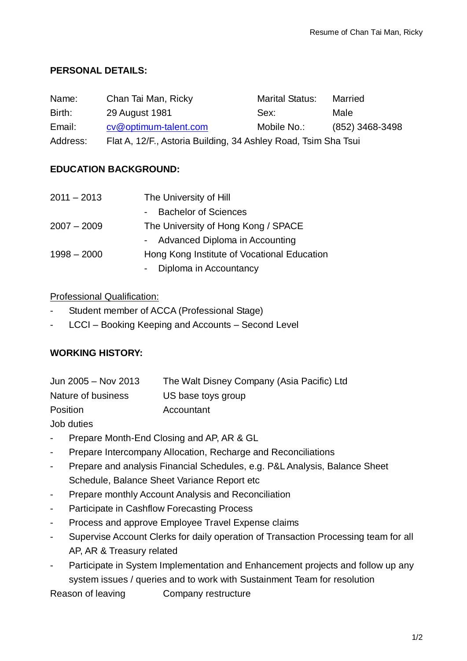# **PERSONAL DETAILS:**

| Name:    | Chan Tai Man, Ricky                                            | <b>Marital Status:</b> | Married         |
|----------|----------------------------------------------------------------|------------------------|-----------------|
| Birth:   | 29 August 1981                                                 | Sex:                   | Male            |
| Email:   | cv@optimum-talent.com                                          | Mobile No.:            | (852) 3468-3498 |
| Address: | Flat A, 12/F., Astoria Building, 34 Ashley Road, Tsim Sha Tsui |                        |                 |

# **EDUCATION BACKGROUND:**

| $2011 - 2013$ | The University of Hill                      |
|---------------|---------------------------------------------|
|               | <b>Bachelor of Sciences</b><br>$\sim 100$   |
| $2007 - 2009$ | The University of Hong Kong / SPACE         |
|               | - Advanced Diploma in Accounting            |
| $1998 - 2000$ | Hong Kong Institute of Vocational Education |
|               | Diploma in Accountancy                      |

### Professional Qualification:

- Student member of ACCA (Professional Stage)
- LCCI Booking Keeping and Accounts Second Level

# **WORKING HISTORY:**

| Jun 2005 - Nov 2013 | The Walt Disney Company (Asia Pacific) Ltd |
|---------------------|--------------------------------------------|
| Nature of business  | US base toys group                         |
| <b>Position</b>     | Accountant                                 |

Job duties

- Prepare Month-End Closing and AP, AR & GL
- Prepare Intercompany Allocation, Recharge and Reconciliations
- Prepare and analysis Financial Schedules, e.g. P&L Analysis, Balance Sheet Schedule, Balance Sheet Variance Report etc
- Prepare monthly Account Analysis and Reconciliation
- Participate in Cashflow Forecasting Process
- Process and approve Employee Travel Expense claims
- Supervise Account Clerks for daily operation of Transaction Processing team for all AP, AR & Treasury related
- Participate in System Implementation and Enhancement projects and follow up any system issues / queries and to work with Sustainment Team for resolution

Reason of leaving Company restructure